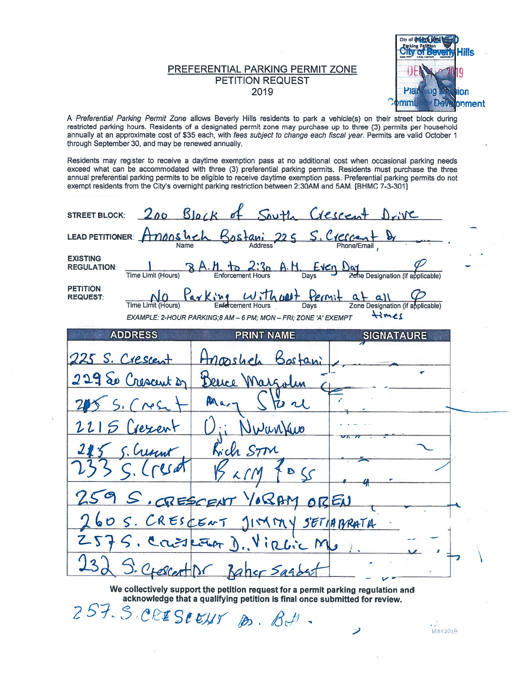## PREFERENTIAL PARKING PERMIT ZONE **PETITION REQUEST** 2019



MAY2019

A Preferential Parking Permit Zone allows Beverly Hills residents to park a vehicle(s) on their street block during restricted parking hours. Residents of a designated permit zone may purchase up to three (3) permits per household annually at an approximate cost of \$35 each, with fees subject to change each fiscal year. Permits are valid October 1 through September 30, and may be renewed annually.

Residents may register to receive a daytime exemption pass at no additional cost when occasional parking needs exceed what can be accommodated with three (3) preferential parking permits. Residents must purchase the three annual preferential parking permits to be eligible to receive daytime exemption pass. Preferential parking permits do not exempt residents from the City's overnight parking restriction between 2:30AM and 5AM. [BHMC 7-3-301]

| 200 Block of South Crescent Drive<br><b>STREET BLOCK:</b>                                                                                                                      |
|--------------------------------------------------------------------------------------------------------------------------------------------------------------------------------|
| LEAD PETITIONER: Anons heh Bostani 225 S. Crescent B                                                                                                                           |
| <b>EXISTING</b><br>8 A. H. to 2:3p A. M. Every Day Zone Designation (if applicable)<br><b>REGULATION:</b><br>Time Limit (Hours)                                                |
| <b>PETITION</b><br><b>REQUEST:</b><br>Zone Designation (if applicable)<br><b>Time Limit (Hours)</b><br>Hmes<br>EXAMPLE: 2-HOUR PARKING:8 AM - 6 PM; MON - FRI; ZONE 'A' EXEMPT |
| <b>ADDRESS</b><br><b>PRINT NAME</b><br><b>SIGNATAURE</b>                                                                                                                       |
| 225 S. Crescent<br>Hnoosheh Bostani                                                                                                                                            |
| 229 So Crescent of<br>Dence Margolin                                                                                                                                           |
| Pac<br>$5.$ $C$ $Nest$<br>$\boldsymbol{\nu}$ $\boldsymbol{\nu}$                                                                                                                |
| 2215 Crexent<br>Uwantao                                                                                                                                                        |
| Kich STM<br>5. Creat                                                                                                                                                           |
| $\frac{1}{2}$                                                                                                                                                                  |
| 259 S. CRESCENT YORAM OREN                                                                                                                                                     |
| 260 S. CRESCENT JIMMY SETABRATA                                                                                                                                                |
| 575. Conspeter D. Virlic Mp                                                                                                                                                    |
| S. CrescertIDr Baher Sagder                                                                                                                                                    |

We collectively support the petition request for a permit parking regulation and acknowledge that a qualifying petition is final once submitted for review. 257-S.CRISIEUT D. B.